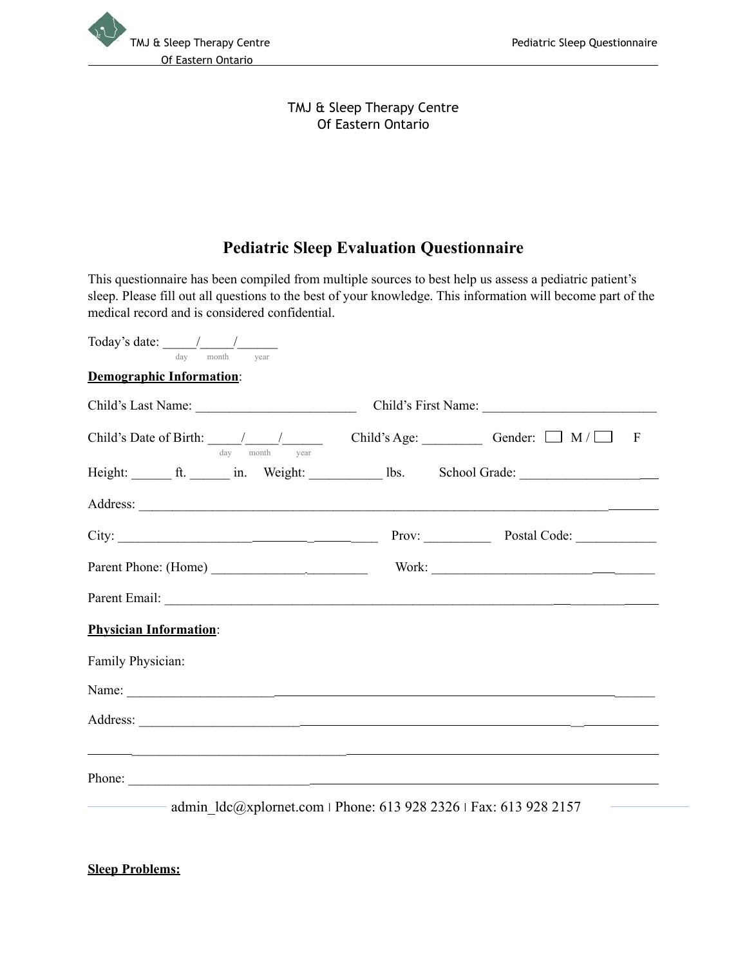

TMJ & Sleep Therapy Centre Of Eastern Ontario

# **Pediatric Sleep Evaluation Questionnaire**

This questionnaire has been compiled from multiple sources to best help us assess a pediatric patient's sleep. Please fill out all questions to the best of your knowledge. This information will become part of the medical record and is considered confidential.

| Today's date: $\frac{1}{\sqrt{1-\frac{1}{2}}}\frac{1}{\sqrt{1-\frac{1}{2}}}\frac{1}{\sqrt{1-\frac{1}{2}}}\frac{1}{\sqrt{1-\frac{1}{2}}}\frac{1}{\sqrt{1-\frac{1}{2}}}\frac{1}{\sqrt{1-\frac{1}{2}}}\frac{1}{\sqrt{1-\frac{1}{2}}}\frac{1}{\sqrt{1-\frac{1}{2}}}\frac{1}{\sqrt{1-\frac{1}{2}}}\frac{1}{\sqrt{1-\frac{1}{2}}}\frac{1}{\sqrt{1-\frac{1}{2}}}\frac{1}{\sqrt{1-\frac{1}{2}}}\frac{1}{\sqrt{1-\frac{1}{$<br>day month<br>vear |                                                                                                                                                                                                                                |
|-----------------------------------------------------------------------------------------------------------------------------------------------------------------------------------------------------------------------------------------------------------------------------------------------------------------------------------------------------------------------------------------------------------------------------------------|--------------------------------------------------------------------------------------------------------------------------------------------------------------------------------------------------------------------------------|
| <b>Demographic Information:</b>                                                                                                                                                                                                                                                                                                                                                                                                         |                                                                                                                                                                                                                                |
|                                                                                                                                                                                                                                                                                                                                                                                                                                         |                                                                                                                                                                                                                                |
| day month vear                                                                                                                                                                                                                                                                                                                                                                                                                          | Child's Date of Birth: $\sqrt{2}$ / Child's Age: Gender: $\Box$ M/ $\Box$<br>- F                                                                                                                                               |
|                                                                                                                                                                                                                                                                                                                                                                                                                                         | Height: ft. in. Weight: lbs. School Grade: 19. march 19. march 20. march 20. march 20. march 20. march 20. march 20. march 20. march 20. march 20. march 20. march 20. march 20. march 20. march 20. march 20. march 20. march |
|                                                                                                                                                                                                                                                                                                                                                                                                                                         |                                                                                                                                                                                                                                |
|                                                                                                                                                                                                                                                                                                                                                                                                                                         | Prov: Postal Code:                                                                                                                                                                                                             |
| Parent Phone: (Home)                                                                                                                                                                                                                                                                                                                                                                                                                    |                                                                                                                                                                                                                                |
|                                                                                                                                                                                                                                                                                                                                                                                                                                         |                                                                                                                                                                                                                                |
| <b>Physician Information:</b>                                                                                                                                                                                                                                                                                                                                                                                                           |                                                                                                                                                                                                                                |
| Family Physician:                                                                                                                                                                                                                                                                                                                                                                                                                       |                                                                                                                                                                                                                                |
|                                                                                                                                                                                                                                                                                                                                                                                                                                         |                                                                                                                                                                                                                                |
|                                                                                                                                                                                                                                                                                                                                                                                                                                         |                                                                                                                                                                                                                                |
|                                                                                                                                                                                                                                                                                                                                                                                                                                         |                                                                                                                                                                                                                                |
|                                                                                                                                                                                                                                                                                                                                                                                                                                         |                                                                                                                                                                                                                                |
|                                                                                                                                                                                                                                                                                                                                                                                                                                         | admin ldc@xplornet.com   Phone: 613 928 2326   Fax: 613 928 2157                                                                                                                                                               |

**Sleep Problems:**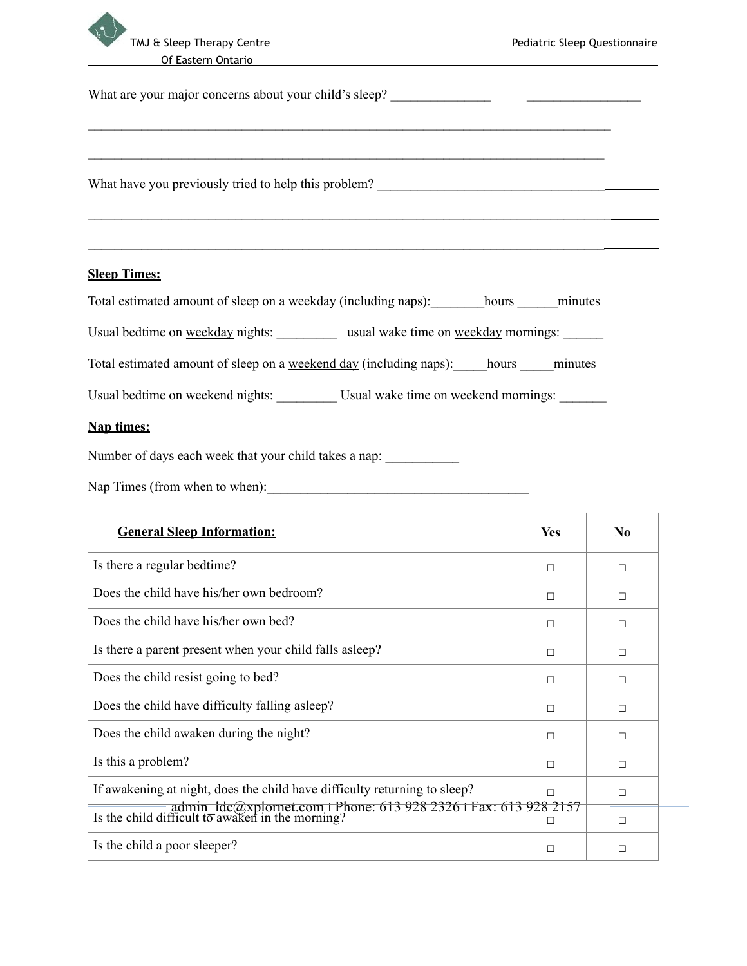

| <u> 1989 - Jan James James James James James James James James James James James James James James James James J</u> |                                 |  |
|----------------------------------------------------------------------------------------------------------------------|---------------------------------|--|
| <u> 1989 - Johann Stoff, amerikansk politiker (* 1908)</u>                                                           |                                 |  |
| <b>Sleep Times:</b>                                                                                                  |                                 |  |
| Total estimated amount of sleep on a weekday (including naps): hours ______ ninutes                                  |                                 |  |
| Usual bedtime on weekday nights: _________ usual wake time on weekday mornings: _____                                |                                 |  |
| Total estimated amount of sleep on a weekend day (including naps): hours minutes                                     |                                 |  |
| Usual bedtime on weekend nights: Usual wake time on weekend mornings: Usual vake time on weekend mornings:           |                                 |  |
| <b>Nap times:</b>                                                                                                    |                                 |  |
| Number of days each week that your child takes a nap:                                                                |                                 |  |
| Nap Times (from when to when):                                                                                       |                                 |  |
| Canaval Slaan Informations                                                                                           | $V_{\alpha\alpha}$ $N_{\alpha}$ |  |

| <b>General Sleep Information:</b>                                                                                                | Yes    | N <sub>0</sub> |
|----------------------------------------------------------------------------------------------------------------------------------|--------|----------------|
| Is there a regular bedtime?                                                                                                      | $\Box$ | П              |
| Does the child have his/her own bedroom?                                                                                         | $\Box$ | П              |
| Does the child have his/her own bed?                                                                                             | П      | П              |
| Is there a parent present when your child falls as leep?                                                                         | $\Box$ | П              |
| Does the child resist going to bed?                                                                                              | $\Box$ | П              |
| Does the child have difficulty falling as leep?                                                                                  | □      | П              |
| Does the child awaken during the night?                                                                                          | $\Box$ | П              |
| Is this a problem?                                                                                                               | $\Box$ | П              |
| If awakening at night, does the child have difficulty returning to sleep?                                                        | $\Box$ | П              |
| admin Idc@xplornet.com   Phone: 613 928 2326   Fax: 61 <sup>3</sup> 928 2157<br>Is the child difficult to awaken in the morning? |        | П              |
| Is the child a poor sleeper?                                                                                                     | $\Box$ | $\Box$         |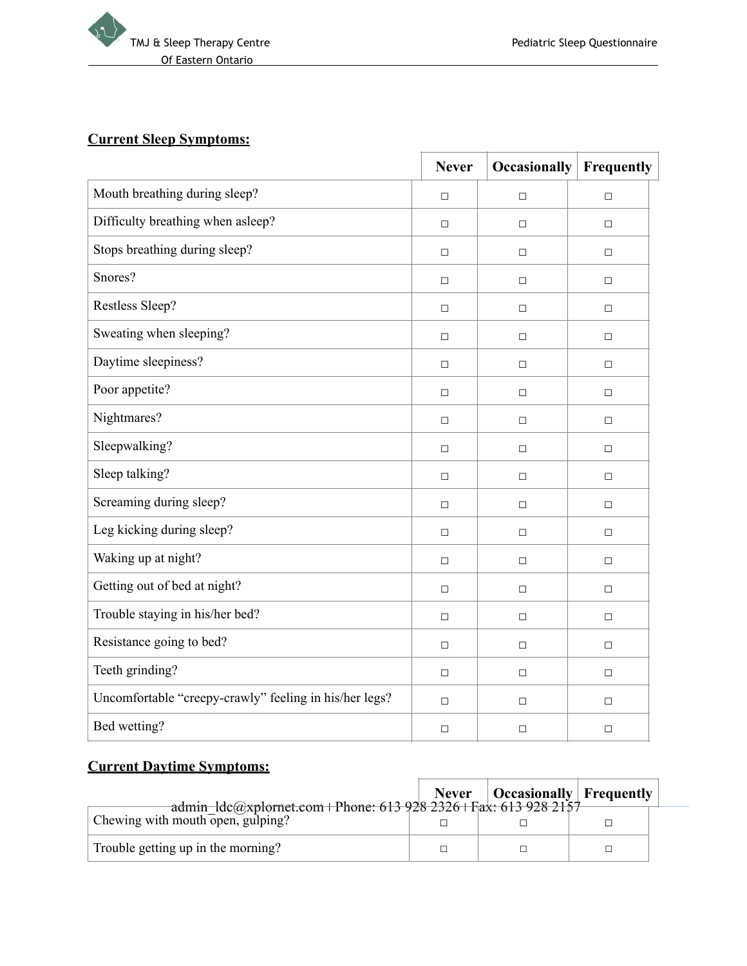

# **Current Sleep Symptoms:**

|                                                        | <b>Never</b> | <b>Occasionally Frequently</b> |        |
|--------------------------------------------------------|--------------|--------------------------------|--------|
| Mouth breathing during sleep?                          | $\Box$       | $\Box$                         | $\Box$ |
| Difficulty breathing when asleep?                      | $\Box$       | $\Box$                         | $\Box$ |
| Stops breathing during sleep?                          | $\Box$       | $\Box$                         | □      |
| Snores?                                                | $\Box$       | $\Box$                         | $\Box$ |
| Restless Sleep?                                        | $\Box$       | $\Box$                         | $\Box$ |
| Sweating when sleeping?                                | $\Box$       | $\Box$                         | $\Box$ |
| Daytime sleepiness?                                    | $\Box$       | $\Box$                         | $\Box$ |
| Poor appetite?                                         | $\Box$       | $\Box$                         | $\Box$ |
| Nightmares?                                            | $\Box$       | $\Box$                         | $\Box$ |
| Sleepwalking?                                          | $\Box$       | $\Box$                         | $\Box$ |
| Sleep talking?                                         | $\Box$       | $\Box$                         | □      |
| Screaming during sleep?                                | $\Box$       | $\Box$                         | $\Box$ |
| Leg kicking during sleep?                              | $\Box$       | $\Box$                         | $\Box$ |
| Waking up at night?                                    | $\Box$       | $\Box$                         | $\Box$ |
| Getting out of bed at night?                           | $\Box$       | $\Box$                         | $\Box$ |
| Trouble staying in his/her bed?                        | $\Box$       | $\Box$                         | $\Box$ |
| Resistance going to bed?                               | $\Box$       | $\Box$                         | $\Box$ |
| Teeth grinding?                                        | $\Box$       | $\Box$                         | $\Box$ |
| Uncomfortable "creepy-crawly" feeling in his/her legs? | $\Box$       | $\Box$                         | □      |
| Bed wetting?                                           | $\Box$       | $\Box$                         | $\Box$ |

 $\overline{1}$ 

### **Current Daytime Symptoms:**

| $\frac{ \text{Never} }{ \text{C}}$ Occasionally   Frequently   $\frac{ \text{Never} }{ \text{C}}$ Occasionally   Frequently |  |  |
|-----------------------------------------------------------------------------------------------------------------------------|--|--|
| Chewing with mouth $\overline{open}$ , gulping?                                                                             |  |  |
| Trouble getting up in the morning?                                                                                          |  |  |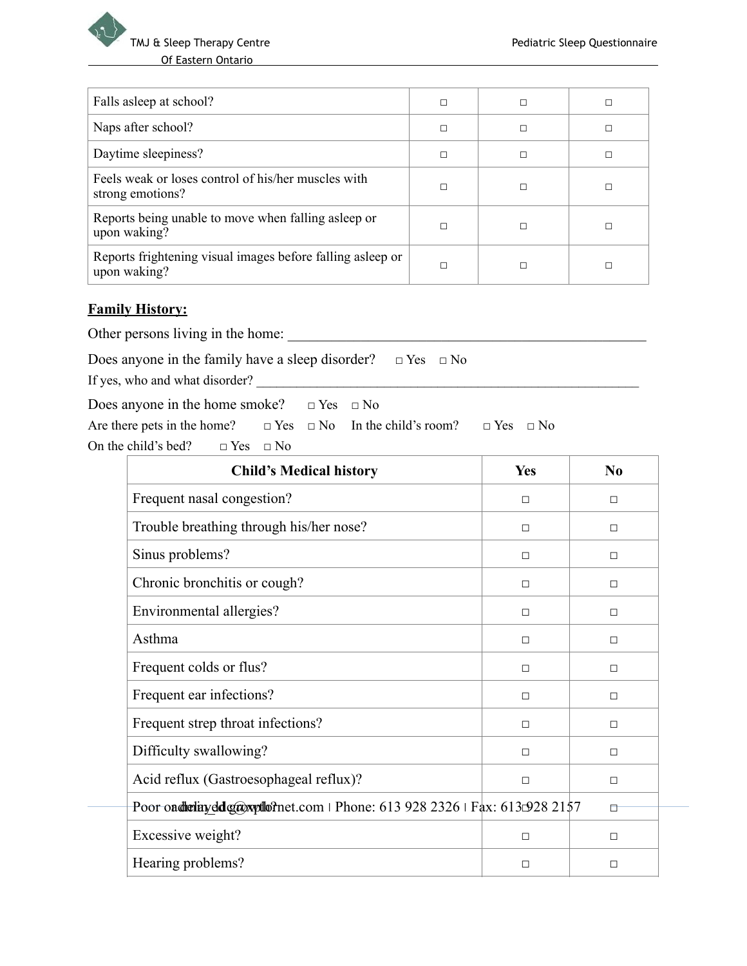| Falls asleep at school?                                                    | П |   |
|----------------------------------------------------------------------------|---|---|
| Naps after school?                                                         | П |   |
| Daytime sleepiness?                                                        | П |   |
| Feels weak or loses control of his/her muscles with<br>strong emotions?    | П | П |
| Reports being unable to move when falling asleep or<br>upon waking?        |   |   |
| Reports frightening visual images before falling asleep or<br>upon waking? | п |   |

#### **Family History:**

Other persons living in the home: \_\_\_\_\_\_\_\_\_\_\_\_\_\_\_\_\_\_\_\_\_\_\_\_\_\_\_\_\_\_\_\_\_\_\_\_\_\_\_\_\_\_\_\_\_\_\_\_\_

| Does anyone in the family have a sleep disorder? $\Box$ Yes $\Box$ No |  |  |  |  |  |  |
|-----------------------------------------------------------------------|--|--|--|--|--|--|
|-----------------------------------------------------------------------|--|--|--|--|--|--|

If yes, who and what disorder?

Does anyone in the home smoke?  $□$  Yes  $□$  No

Are there pets in the home?  $\Box$  Yes  $\Box$  No In the child's room?  $\Box$  Yes  $\Box$  No

On the child's bed?  $\Box$  Yes  $\Box$  No

| <b>Child's Medical history</b>                                              | Yes    | N <sub>0</sub> |
|-----------------------------------------------------------------------------|--------|----------------|
| Frequent nasal congestion?                                                  | $\Box$ | П              |
| Trouble breathing through his/her nose?                                     | $\Box$ | $\Box$         |
| Sinus problems?                                                             | $\Box$ | П              |
| Chronic bronchitis or cough?                                                | $\Box$ | П              |
| Environmental allergies?                                                    | $\Box$ | $\Box$         |
| Asthma                                                                      | $\Box$ | П              |
| Frequent colds or flus?                                                     | $\Box$ | П              |
| Frequent ear infections?                                                    | $\Box$ | П              |
| Frequent strep throat infections?                                           | $\Box$ | П              |
| Difficulty swallowing?                                                      | $\Box$ | $\Box$         |
| Acid reflux (Gastroesophageal reflux)?                                      | $\Box$ | П              |
| Poor onderlaydd grawyddor het.com   Phone: 613 928 2326   Fax: 613 028 2157 |        | П              |
| Excessive weight?                                                           | $\Box$ | П              |
| Hearing problems?                                                           | $\Box$ | П              |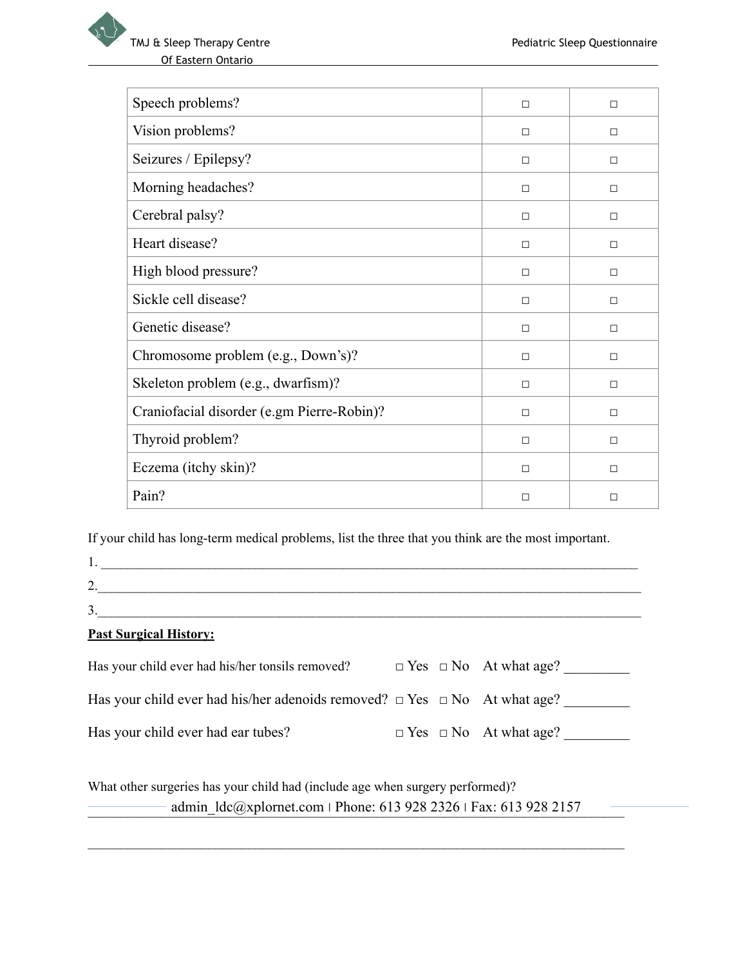| Speech problems?                           | $\Box$ | $\Box$ |
|--------------------------------------------|--------|--------|
| Vision problems?                           | $\Box$ | $\Box$ |
| Seizures / Epilepsy?                       | $\Box$ | $\Box$ |
| Morning headaches?                         | $\Box$ | $\Box$ |
| Cerebral palsy?                            | $\Box$ | $\Box$ |
| Heart disease?                             | $\Box$ | $\Box$ |
| High blood pressure?                       | $\Box$ | $\Box$ |
| Sickle cell disease?                       | $\Box$ | $\Box$ |
| Genetic disease?                           | $\Box$ | $\Box$ |
| Chromosome problem (e.g., Down's)?         | $\Box$ | $\Box$ |
| Skeleton problem (e.g., dwarfism)?         | $\Box$ | $\Box$ |
| Craniofacial disorder (e.gm Pierre-Robin)? | $\Box$ | $\Box$ |
| Thyroid problem?                           | $\Box$ | $\Box$ |
| Eczema (itchy skin)?                       | $\Box$ | $\Box$ |
| Pain?                                      | $\Box$ | $\Box$ |

If your child has long-term medical problems, list the three that you think are the most important.

| <u>.</u> |  |
|----------|--|
| - -      |  |

### **Past Surgical History:**

| Has your child ever had his/her tonsils removed?                                    |  | $\Box$ Yes $\Box$ No At what age? |
|-------------------------------------------------------------------------------------|--|-----------------------------------|
| Has your child ever had his/her adenoids removed? $\Box$ Yes $\Box$ No At what age? |  |                                   |
| Has your child ever had ear tubes?                                                  |  | $\Box$ Yes $\Box$ No At what age? |

 $\longrightarrow \text{admin\_ldc@xplornet.com} \mid \text{Phone: } 613\,928\,2326 \mid \text{Fax: } 613\,928\,2157 \quad \longrightarrow$ What other surgeries has your child had (include age when surgery performed)?

 $\mathcal{L}_\mathcal{L} = \{ \mathcal{L}_\mathcal{L} = \{ \mathcal{L}_\mathcal{L} = \{ \mathcal{L}_\mathcal{L} = \{ \mathcal{L}_\mathcal{L} = \{ \mathcal{L}_\mathcal{L} = \{ \mathcal{L}_\mathcal{L} = \{ \mathcal{L}_\mathcal{L} = \{ \mathcal{L}_\mathcal{L} = \{ \mathcal{L}_\mathcal{L} = \{ \mathcal{L}_\mathcal{L} = \{ \mathcal{L}_\mathcal{L} = \{ \mathcal{L}_\mathcal{L} = \{ \mathcal{L}_\mathcal{L} = \{ \mathcal{L}_\mathcal{$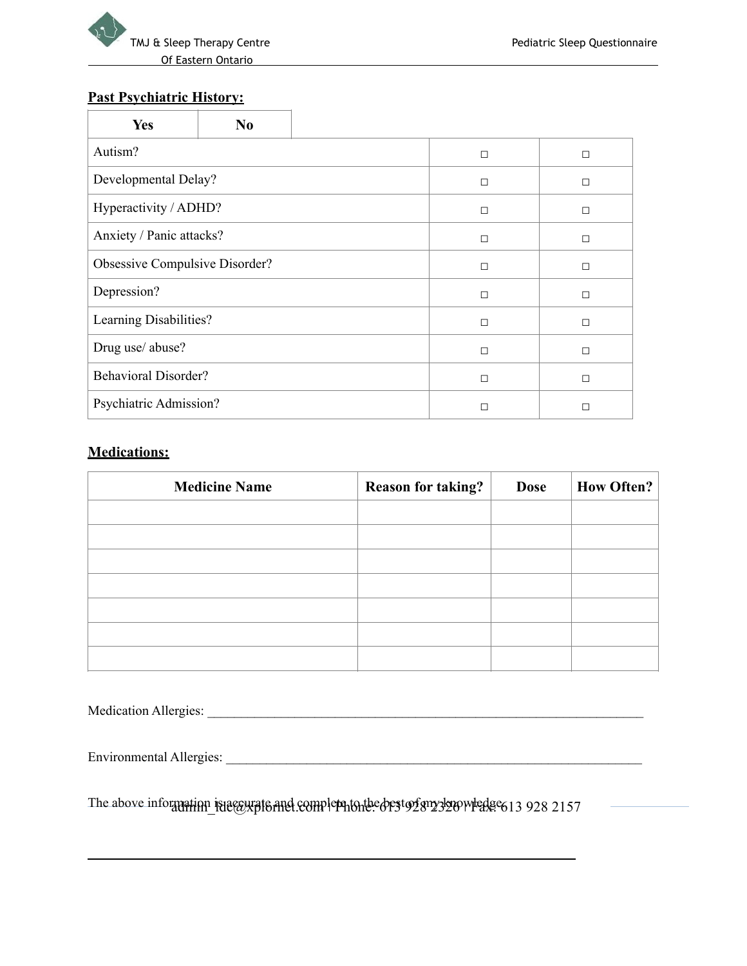### **Past Psychiatric History:**

| <b>Yes</b>                       | N <sub>0</sub>                     |        |        |   |  |  |  |
|----------------------------------|------------------------------------|--------|--------|---|--|--|--|
| Autism?                          |                                    | П<br>П |        |   |  |  |  |
| Developmental Delay?             |                                    |        | П      | П |  |  |  |
| Hyperactivity / ADHD?            |                                    |        | П      | П |  |  |  |
|                                  | Anxiety / Panic attacks?<br>П<br>П |        |        |   |  |  |  |
| Obsessive Compulsive Disorder?   |                                    |        | П      | П |  |  |  |
| Depression?                      |                                    |        | П      | П |  |  |  |
| Learning Disabilities?           |                                    |        | $\Box$ | П |  |  |  |
| Drug use/ abuse?<br>П<br>П       |                                    |        |        |   |  |  |  |
| <b>Behavioral Disorder?</b>      |                                    | П<br>П |        |   |  |  |  |
| Psychiatric Admission?<br>П<br>П |                                    |        |        |   |  |  |  |

## **Medications:**

| <b>Medicine Name</b> | <b>Reason for taking?</b> | <b>Dose</b> | <b>How Often?</b> |
|----------------------|---------------------------|-------------|-------------------|
|                      |                           |             |                   |
|                      |                           |             |                   |
|                      |                           |             |                   |
|                      |                           |             |                   |
|                      |                           |             |                   |
|                      |                           |             |                   |
|                      |                           |             |                   |

Medication Allergies: \_\_\_\_\_\_\_\_\_\_\_\_\_\_\_\_\_\_\_\_\_\_\_\_\_\_\_\_\_\_\_\_\_\_\_\_\_\_\_\_\_\_\_\_\_\_\_\_\_\_\_\_\_\_\_\_\_\_\_\_\_\_\_\_\_

Environmental Allergies: \_\_\_\_\_\_\_\_\_\_\_\_\_\_\_\_\_\_\_\_\_\_\_\_\_\_\_\_\_\_\_\_\_\_\_\_\_\_\_\_\_\_\_\_\_\_\_\_\_\_\_\_\_\_\_\_\_\_\_\_\_\_

l

The above information is accurate and complete to the best of smy knowledge613 928 2157